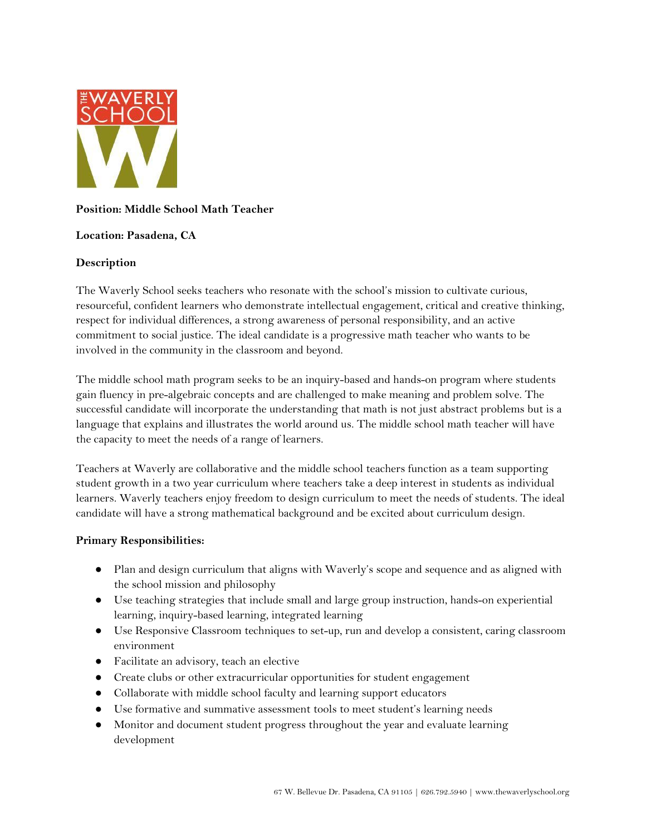

# **Position: Middle School Math Teacher**

### **Location: Pasadena, CA**

# **Description**

The Waverly School seeks teachers who resonate with the school's mission to cultivate curious, resourceful, confident learners who demonstrate intellectual engagement, critical and creative thinking, respect for individual differences, a strong awareness of personal responsibility, and an active commitment to social justice. The ideal candidate is a progressive math teacher who wants to be involved in the community in the classroom and beyond.

The middle school math program seeks to be an inquiry-based and hands-on program where students gain fluency in pre-algebraic concepts and are challenged to make meaning and problem solve. The successful candidate will incorporate the understanding that math is not just abstract problems but is a language that explains and illustrates the world around us. The middle school math teacher will have the capacity to meet the needs of a range of learners.

Teachers at Waverly are collaborative and the middle school teachers function as a team supporting student growth in a two year curriculum where teachers take a deep interest in students as individual learners. Waverly teachers enjoy freedom to design curriculum to meet the needs of students. The ideal candidate will have a strong mathematical background and be excited about curriculum design.

### **Primary Responsibilities:**

- Plan and design curriculum that aligns with Waverly's scope and sequence and as aligned with the school mission and philosophy
- Use teaching strategies that include small and large group instruction, hands-on experiential learning, inquiry-based learning, integrated learning
- Use Responsive Classroom techniques to set-up, run and develop a consistent, caring classroom environment
- Facilitate an advisory, teach an elective
- Create clubs or other extracurricular opportunities for student engagement
- Collaborate with middle school faculty and learning support educators
- Use formative and summative assessment tools to meet student's learning needs
- Monitor and document student progress throughout the year and evaluate learning development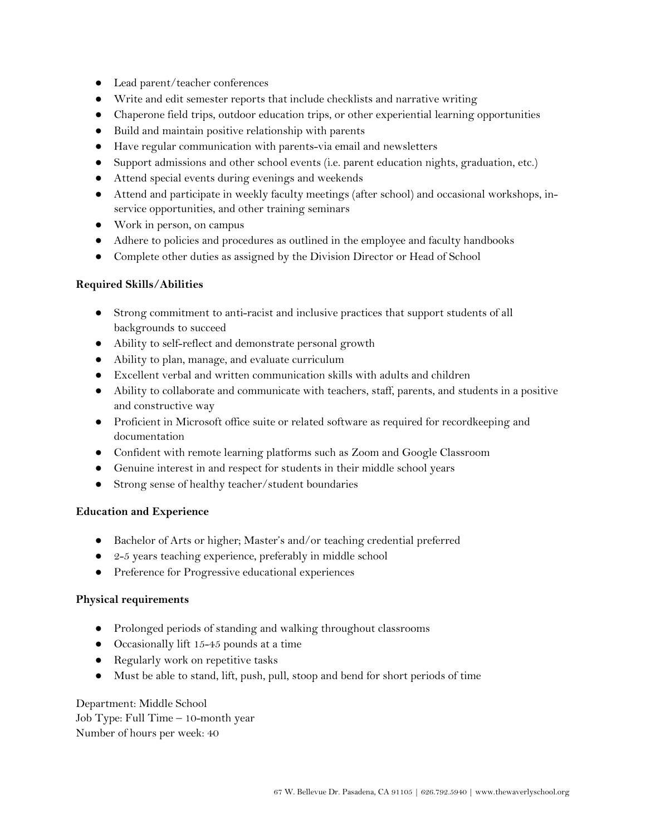- Lead parent/teacher conferences
- Write and edit semester reports that include checklists and narrative writing
- Chaperone field trips, outdoor education trips, or other experiential learning opportunities
- Build and maintain positive relationship with parents
- Have regular communication with parents-via email and newsletters
- Support admissions and other school events (i.e. parent education nights, graduation, etc.)
- Attend special events during evenings and weekends
- Attend and participate in weekly faculty meetings (after school) and occasional workshops, inservice opportunities, and other training seminars
- Work in person, on campus
- Adhere to policies and procedures as outlined in the employee and faculty handbooks
- Complete other duties as assigned by the Division Director or Head of School

### **Required Skills/Abilities**

- Strong commitment to anti-racist and inclusive practices that support students of all backgrounds to succeed
- Ability to self-reflect and demonstrate personal growth
- Ability to plan, manage, and evaluate curriculum
- Excellent verbal and written communication skills with adults and children
- Ability to collaborate and communicate with teachers, staff, parents, and students in a positive and constructive way
- Proficient in Microsoft office suite or related software as required for recordkeeping and documentation
- Confident with remote learning platforms such as Zoom and Google Classroom
- Genuine interest in and respect for students in their middle school years
- Strong sense of healthy teacher/student boundaries

### **Education and Experience**

- Bachelor of Arts or higher; Master's and/or teaching credential preferred
- 2-5 years teaching experience, preferably in middle school
- Preference for Progressive educational experiences

### **Physical requirements**

- Prolonged periods of standing and walking throughout classrooms
- Occasionally lift 15-45 pounds at a time
- Regularly work on repetitive tasks
- Must be able to stand, lift, push, pull, stoop and bend for short periods of time

Department: Middle School Job Type: Full Time – 10-month year Number of hours per week: 40